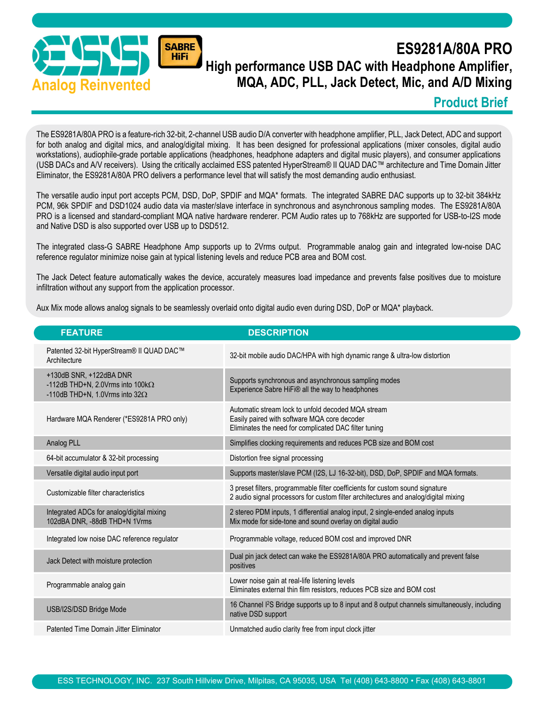

# ES9281A/80A PRO High performance USB DAC with Headphone Amplifier, MQA, ADC, PLL, Jack Detect, Mic, and A/D Mixing

#### Product Brief

The ES9281A/80A PRO is a feature-rich 32-bit, 2-channel USB audio D/A converter with headphone amplifier, PLL, Jack Detect, ADC and support for both analog and digital mics, and analog/digital mixing. It has been designed for professional applications (mixer consoles, digital audio workstations), audiophile-grade portable applications (headphones, headphone adapters and digital music players), and consumer applications (USB DACs and A/V receivers). Using the critically acclaimed ESS patented HyperStream® II QUAD DAC™ architecture and Time Domain Jitter Eliminator, the ES9281A/80A PRO delivers a performance level that will satisfy the most demanding audio enthusiast.

The versatile audio input port accepts PCM, DSD, DoP, SPDIF and MQA\* formats. The integrated SABRE DAC supports up to 32-bit 384kHz PCM, 96k SPDIF and DSD1024 audio data via master/slave interface in synchronous and asynchronous sampling modes. The ES9281A/80A PRO is a licensed and standard-compliant MQA native hardware renderer. PCM Audio rates up to 768kHz are supported for USB-to-I2S mode and Native DSD is also supported over USB up to DSD512.

The integrated class-G SABRE Headphone Amp supports up to 2Vrms output. Programmable analog gain and integrated low-noise DAC reference regulator minimize noise gain at typical listening levels and reduce PCB area and BOM cost.

The Jack Detect feature automatically wakes the device, accurately measures load impedance and prevents false positives due to moisture infiltration without any support from the application processor.

Aux Mix mode allows analog signals to be seamlessly overlaid onto digital audio even during DSD, DoP or MQA\* playback.

| <b>FEATURE</b>                                                                                              | <b>DESCRIPTION</b>                                                                                                                                                   |
|-------------------------------------------------------------------------------------------------------------|----------------------------------------------------------------------------------------------------------------------------------------------------------------------|
| Patented 32-bit HyperStream® II QUAD DAC™<br>Architecture                                                   | 32-bit mobile audio DAC/HPA with high dynamic range & ultra-low distortion                                                                                           |
| +130dB SNR, +122dBA DNR<br>-112dB THD+N, 2.0Vrms into $100k\Omega$<br>-110dB THD+N, 1.0Vrms into $32\Omega$ | Supports synchronous and asynchronous sampling modes<br>Experience Sabre HiFi® all the way to headphones                                                             |
| Hardware MQA Renderer (*ES9281A PRO only)                                                                   | Automatic stream lock to unfold decoded MQA stream<br>Easily paired with software MQA core decoder<br>Eliminates the need for complicated DAC filter tuning          |
| Analog PLL                                                                                                  | Simplifies clocking requirements and reduces PCB size and BOM cost                                                                                                   |
| 64-bit accumulator & 32-bit processing                                                                      | Distortion free signal processing                                                                                                                                    |
| Versatile digital audio input port                                                                          | Supports master/slave PCM (I2S, LJ 16-32-bit), DSD, DoP, SPDIF and MQA formats.                                                                                      |
| Customizable filter characteristics                                                                         | 3 preset filters, programmable filter coefficients for custom sound signature<br>2 audio signal processors for custom filter architectures and analog/digital mixing |
| Integrated ADCs for analog/digital mixing<br>102dBA DNR, -88dB THD+N 1Vrms                                  | 2 stereo PDM inputs, 1 differential analog input, 2 single-ended analog inputs<br>Mix mode for side-tone and sound overlay on digital audio                          |
| Integrated low noise DAC reference regulator                                                                | Programmable voltage, reduced BOM cost and improved DNR                                                                                                              |
| Jack Detect with moisture protection                                                                        | Dual pin jack detect can wake the ES9281A/80A PRO automatically and prevent false<br>positives                                                                       |
| Programmable analog gain                                                                                    | Lower noise gain at real-life listening levels<br>Eliminates external thin film resistors, reduces PCB size and BOM cost                                             |
| USB/I2S/DSD Bridge Mode                                                                                     | 16 Channel I <sup>2</sup> S Bridge supports up to 8 input and 8 output channels simultaneously, including<br>native DSD support                                      |
| Patented Time Domain Jitter Eliminator                                                                      | Unmatched audio clarity free from input clock jitter                                                                                                                 |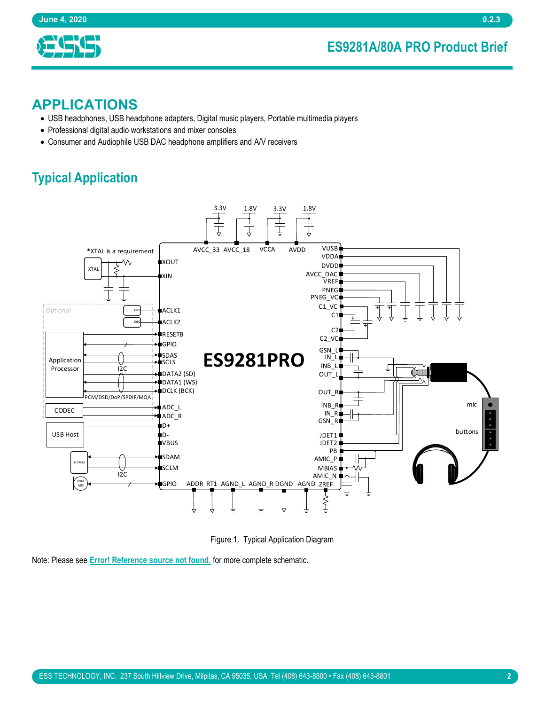### ES9281A/80A PRO Product Brief



#### APPLICATIONS

- USB headphones, USB headphone adapters, Digital music players, Portable multimedia players
- Professional digital audio workstations and mixer consoles
- Consumer and Audiophile USB DAC headphone amplifiers and A/V receivers

# Typical Application



Figure 1. Typical Application Diagram

Note: Please see **Error! Reference source not found.** for more complete schematic.